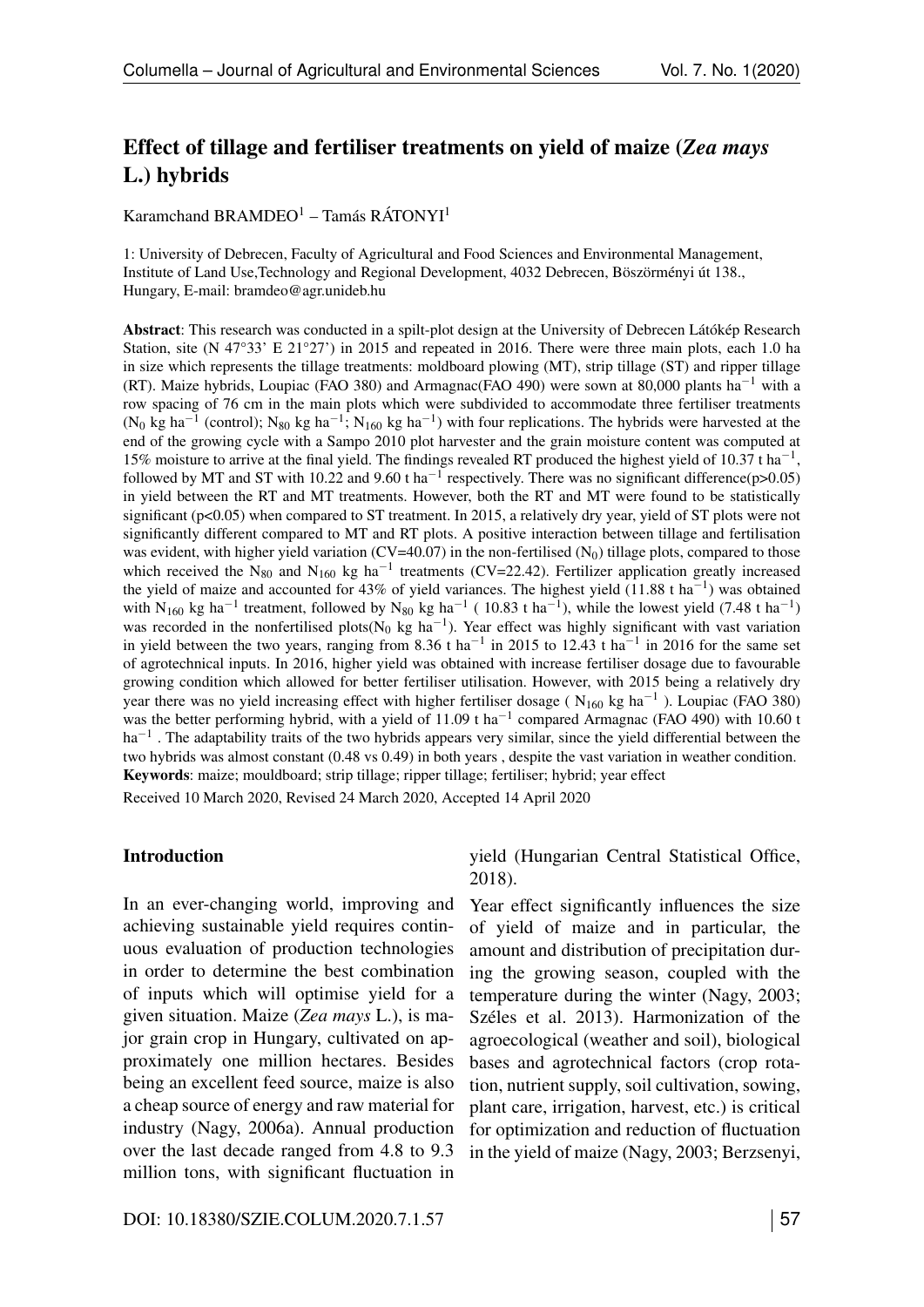# Effect of tillage and fertiliser treatments on yield of maize (*Zea mays* L.) hybrids

Karamchand BRAMDEO<sup>1</sup> – Tamás RÁTONYI<sup>1</sup>

1: University of Debrecen, Faculty of Agricultural and Food Sciences and Environmental Management, Institute of Land Use,Technology and Regional Development, 4032 Debrecen, Böszörményi út 138., Hungary, E-mail: bramdeo@agr.unideb.hu

Abstract: This research was conducted in a spilt-plot design at the University of Debrecen Látókép Research Station, site (N 47°33' E 21°27') in 2015 and repeated in 2016. There were three main plots, each 1.0 ha in size which represents the tillage treatments: moldboard plowing (MT), strip tillage (ST) and ripper tillage (RT). Maize hybrids, Loupiac (FAO 380) and Armagnac(FAO 490) were sown at 80,000 plants ha<sup>-1</sup> with a row spacing of 76 cm in the main plots which were subdivided to accommodate three fertiliser treatments (N<sub>0</sub> kg ha<sup>-1</sup> (control); N<sub>80</sub> kg ha<sup>-1</sup>; N<sub>160</sub> kg ha<sup>-1</sup>) with four replications. The hybrids were harvested at the end of the growing cycle with a Sampo 2010 plot harvester and the grain moisture content was computed at 15% moisture to arrive at the final yield. The findings revealed RT produced the highest yield of 10.37 t ha<sup>-1</sup>, followed by MT and ST with 10.22 and 9.60 t ha<sup>-1</sup> respectively. There was no significant difference(p>0.05) in yield between the RT and MT treatments. However, both the RT and MT were found to be statistically significant (p<0.05) when compared to ST treatment. In 2015, a relatively dry year, yield of ST plots were not significantly different compared to MT and RT plots. A positive interaction between tillage and fertilisation was evident, with higher yield variation (CV=40.07) in the non-fertilised ( $N_0$ ) tillage plots, compared to those which received the N<sub>80</sub> and N<sub>160</sub> kg ha<sup>-1</sup> treatments (CV=22.42). Fertilizer application greatly increased the yield of maize and accounted for 43% of yield variances. The highest yield  $(11.88 \text{ t ha}^{-1})$  was obtained with N<sub>160</sub> kg ha<sup>-1</sup> treatment, followed by N<sub>80</sub> kg ha<sup>-1</sup> (10.83 t ha<sup>-1</sup>), while the lowest yield (7.48 t ha<sup>-1</sup>) was recorded in the nonfertilised plots( $N_0$  kg ha<sup>-1</sup>). Year effect was highly significant with vast variation in yield between the two years, ranging from 8.36 t ha<sup>-1</sup> in 2015 to 12.43 t ha<sup>-1</sup> in 2016 for the same set of agrotechnical inputs. In 2016, higher yield was obtained with increase fertiliser dosage due to favourable growing condition which allowed for better fertiliser utilisation. However, with 2015 being a relatively dry year there was no yield increasing effect with higher fertiliser dosage ( $N_{160}$  kg ha<sup>-1</sup>). Loupiac (FAO 380) was the better performing hybrid, with a yield of  $11.09$  t ha<sup>-1</sup> compared Armagnac (FAO 490) with 10.60 t  $ha^{-1}$ . The adaptability traits of the two hybrids appears very similar, since the yield differential between the two hybrids was almost constant (0.48 vs 0.49) in both years , despite the vast variation in weather condition. Keywords: maize; mouldboard; strip tillage; ripper tillage; fertiliser; hybrid; year effect

Received 10 March 2020, Revised 24 March 2020, Accepted 14 April 2020

#### Introduction

In an ever-changing world, improving and achieving sustainable yield requires continuous evaluation of production technologies in order to determine the best combination of inputs which will optimise yield for a given situation. Maize (*Zea mays* L.), is major grain crop in Hungary, cultivated on approximately one million hectares. Besides being an excellent feed source, maize is also a cheap source of energy and raw material for industry (Nagy, 2006a). Annual production over the last decade ranged from 4.8 to 9.3 million tons, with significant fluctuation in

yield (Hungarian Central Statistical Office, 2018).

Year effect significantly influences the size of yield of maize and in particular, the amount and distribution of precipitation during the growing season, coupled with the temperature during the winter (Nagy, 2003; Széles et al. 2013). Harmonization of the agroecological (weather and soil), biological bases and agrotechnical factors (crop rotation, nutrient supply, soil cultivation, sowing, plant care, irrigation, harvest, etc.) is critical for optimization and reduction of fluctuation in the yield of maize (Nagy, 2003; Berzsenyi,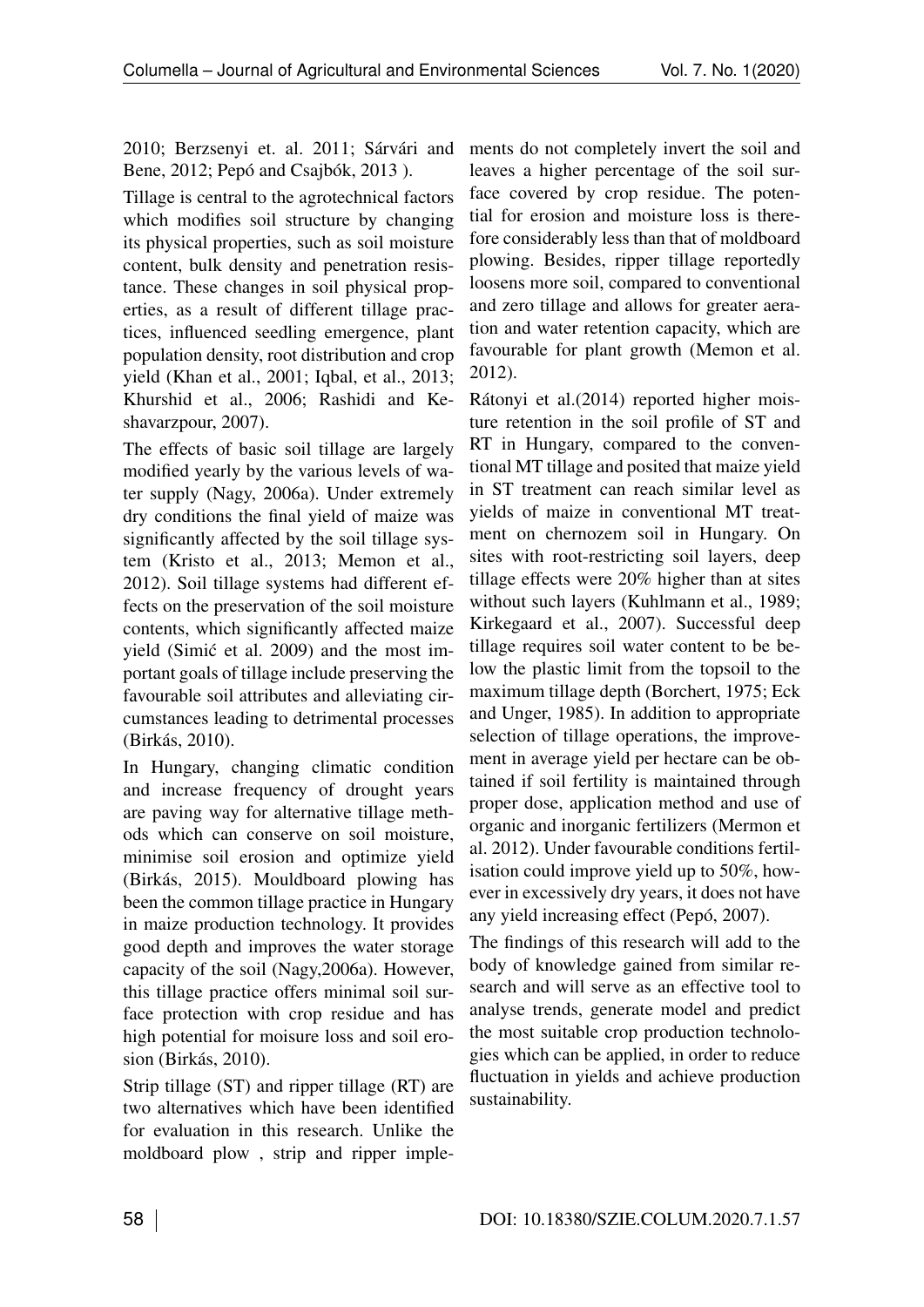2010; Berzsenyi et. al. 2011; Sárvári and Bene, 2012; Pepó and Csajbók, 2013 ).

Tillage is central to the agrotechnical factors which modifies soil structure by changing its physical properties, such as soil moisture content, bulk density and penetration resistance. These changes in soil physical properties, as a result of different tillage practices, influenced seedling emergence, plant population density, root distribution and crop yield (Khan et al., 2001; Iqbal, et al., 2013; Khurshid et al., 2006; Rashidi and Keshavarzpour, 2007).

The effects of basic soil tillage are largely modified yearly by the various levels of water supply (Nagy, 2006a). Under extremely dry conditions the final yield of maize was significantly affected by the soil tillage system (Kristo et al., 2013; Memon et al., 2012). Soil tillage systems had different effects on the preservation of the soil moisture contents, which significantly affected maize yield (Simić et al. 2009) and the most important goals of tillage include preserving the favourable soil attributes and alleviating circumstances leading to detrimental processes (Birkás, 2010).

In Hungary, changing climatic condition and increase frequency of drought years are paving way for alternative tillage methods which can conserve on soil moisture, minimise soil erosion and optimize yield (Birkás, 2015). Mouldboard plowing has been the common tillage practice in Hungary in maize production technology. It provides good depth and improves the water storage capacity of the soil (Nagy,2006a). However, this tillage practice offers minimal soil surface protection with crop residue and has high potential for moisure loss and soil erosion (Birkás, 2010).

Strip tillage (ST) and ripper tillage (RT) are two alternatives which have been identified for evaluation in this research. Unlike the moldboard plow , strip and ripper imple-

ments do not completely invert the soil and leaves a higher percentage of the soil surface covered by crop residue. The potential for erosion and moisture loss is therefore considerably less than that of moldboard plowing. Besides, ripper tillage reportedly loosens more soil, compared to conventional and zero tillage and allows for greater aeration and water retention capacity, which are favourable for plant growth (Memon et al. 2012).

Rátonyi et al.(2014) reported higher moisture retention in the soil profile of ST and RT in Hungary, compared to the conventional MT tillage and posited that maize yield in ST treatment can reach similar level as yields of maize in conventional MT treatment on chernozem soil in Hungary. On sites with root-restricting soil layers, deep tillage effects were 20% higher than at sites without such layers (Kuhlmann et al., 1989; Kirkegaard et al., 2007). Successful deep tillage requires soil water content to be below the plastic limit from the topsoil to the maximum tillage depth (Borchert, 1975; Eck and Unger, 1985). In addition to appropriate selection of tillage operations, the improvement in average yield per hectare can be obtained if soil fertility is maintained through proper dose, application method and use of organic and inorganic fertilizers (Mermon et al. 2012). Under favourable conditions fertilisation could improve yield up to 50%, however in excessively dry years, it does not have any yield increasing effect (Pepó, 2007).

The findings of this research will add to the body of knowledge gained from similar research and will serve as an effective tool to analyse trends, generate model and predict the most suitable crop production technologies which can be applied, in order to reduce fluctuation in yields and achieve production sustainability.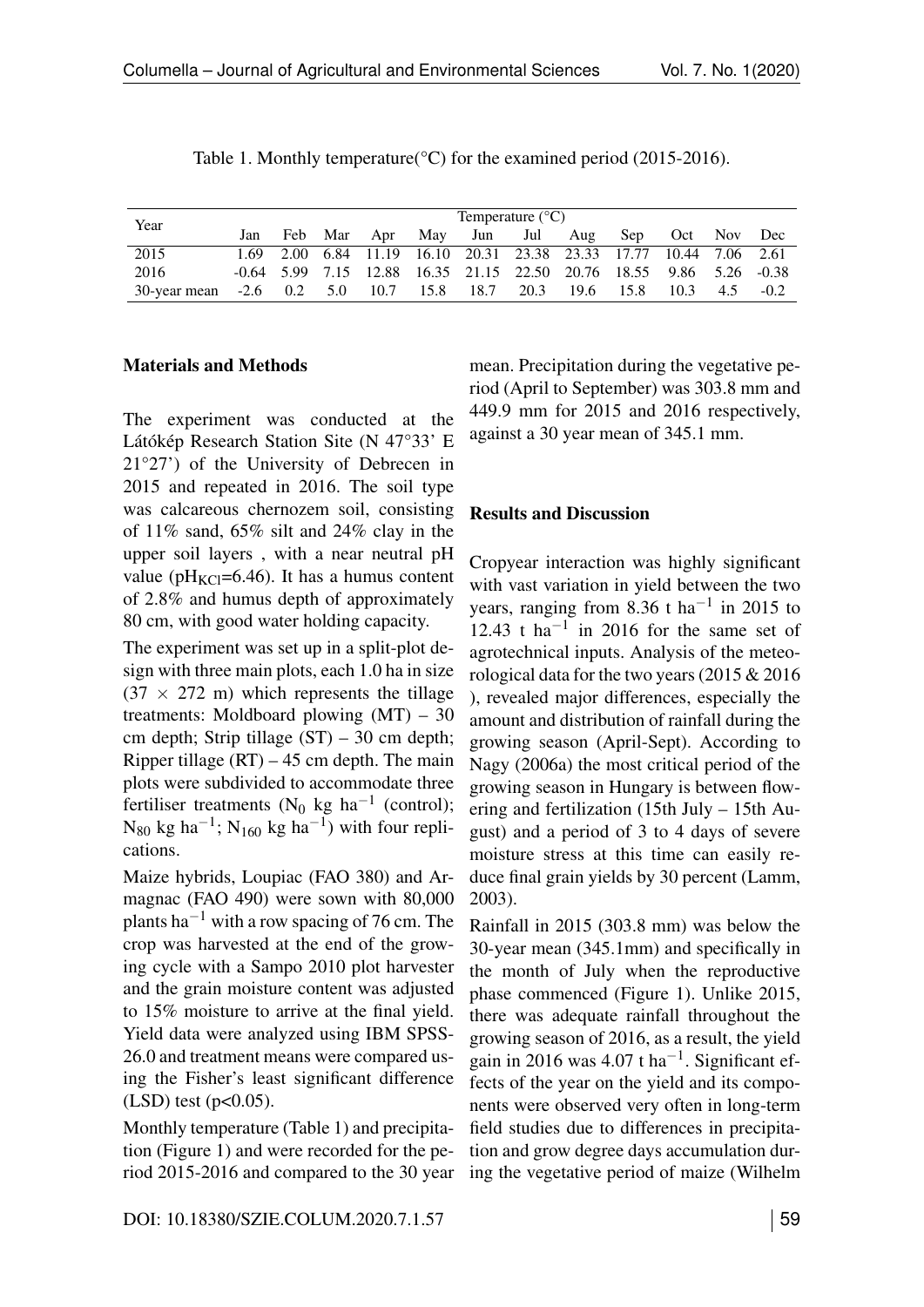|                             |  |  |                     | Temperature $(^{\circ}C)$                                           |      |      |                 |     |        |
|-----------------------------|--|--|---------------------|---------------------------------------------------------------------|------|------|-----------------|-----|--------|
| Year                        |  |  |                     | Jan Feb Mar Apr May Jun Jul Aug                                     |      |      | Sep Oct Nov Dec |     |        |
| 2015                        |  |  |                     | 1.69 2.00 6.84 11.19 16.10 20.31 23.38 23.33 17.77 10.44 7.06 2.61  |      |      |                 |     |        |
| 2016                        |  |  |                     | -0.64 5.99 7.15 12.88 16.35 21.15 22.50 20.76 18.55 9.86 5.26 -0.38 |      |      |                 |     |        |
| 30-year mean $-2.6$ 0.2 5.0 |  |  | 10.7 15.8 18.7 20.3 |                                                                     | 19.6 | 15.8 | 10.3            | 4.5 | $-0.2$ |

| Table 1. Monthly temperature( $\degree$ C) for the examined period (2015-2016). |  |  |  |
|---------------------------------------------------------------------------------|--|--|--|
|---------------------------------------------------------------------------------|--|--|--|

### Materials and Methods

The experiment was conducted at the Látókép Research Station Site (N 47°33' E 21°27') of the University of Debrecen in 2015 and repeated in 2016. The soil type was calcareous chernozem soil, consisting of 11% sand, 65% silt and 24% clay in the upper soil layers , with a near neutral pH value ( $pH_{KC} = 6.46$ ). It has a humus content of 2.8% and humus depth of approximately 80 cm, with good water holding capacity.

The experiment was set up in a split-plot design with three main plots, each 1.0 ha in size  $(37 \times 272 \text{ m})$  which represents the tillage treatments: Moldboard plowing (MT) – 30 cm depth; Strip tillage  $(ST) - 30$  cm depth; Ripper tillage  $(RT) - 45$  cm depth. The main plots were subdivided to accommodate three fertiliser treatments ( $N_0$  kg ha<sup>-1</sup> (control);  $N_{80}$  kg ha<sup>-1</sup>; N<sub>160</sub> kg ha<sup>-1</sup>) with four replications.

Maize hybrids, Loupiac (FAO 380) and Armagnac (FAO 490) were sown with 80,000 plants ha<sup>-1</sup> with a row spacing of 76 cm. The crop was harvested at the end of the growing cycle with a Sampo 2010 plot harvester and the grain moisture content was adjusted to 15% moisture to arrive at the final yield. Yield data were analyzed using IBM SPSS-26.0 and treatment means were compared using the Fisher's least significant difference  $(LSD)$  test ( $p<0.05$ ).

Monthly temperature (Table [1\)](#page--1-0) and precipitation (Figure [1\)](#page-7-0) and were recorded for the period 2015-2016 and compared to the 30 year mean. Precipitation during the vegetative period (April to September) was 303.8 mm and 449.9 mm for 2015 and 2016 respectively, against a 30 year mean of 345.1 mm.

### Results and Discussion

Cropyear interaction was highly significant with vast variation in yield between the two years, ranging from 8.36 t ha<sup>-1</sup> in 2015 to 12.43 t ha<sup>-1</sup> in 2016 for the same set of agrotechnical inputs. Analysis of the meteorological data for the two years (2015 & 2016 ), revealed major differences, especially the amount and distribution of rainfall during the growing season (April-Sept). According to Nagy (2006a) the most critical period of the growing season in Hungary is between flowering and fertilization (15th July – 15th August) and a period of 3 to 4 days of severe moisture stress at this time can easily reduce final grain yields by 30 percent (Lamm, 2003).

Rainfall in 2015 (303.8 mm) was below the 30-year mean (345.1mm) and specifically in the month of July when the reproductive phase commenced (Figure [1\)](#page-7-0). Unlike 2015, there was adequate rainfall throughout the growing season of 2016, as a result, the yield gain in 2016 was  $4.07$  t ha<sup>-1</sup>. Significant effects of the year on the yield and its components were observed very often in long-term field studies due to differences in precipitation and grow degree days accumulation during the vegetative period of maize (Wilhelm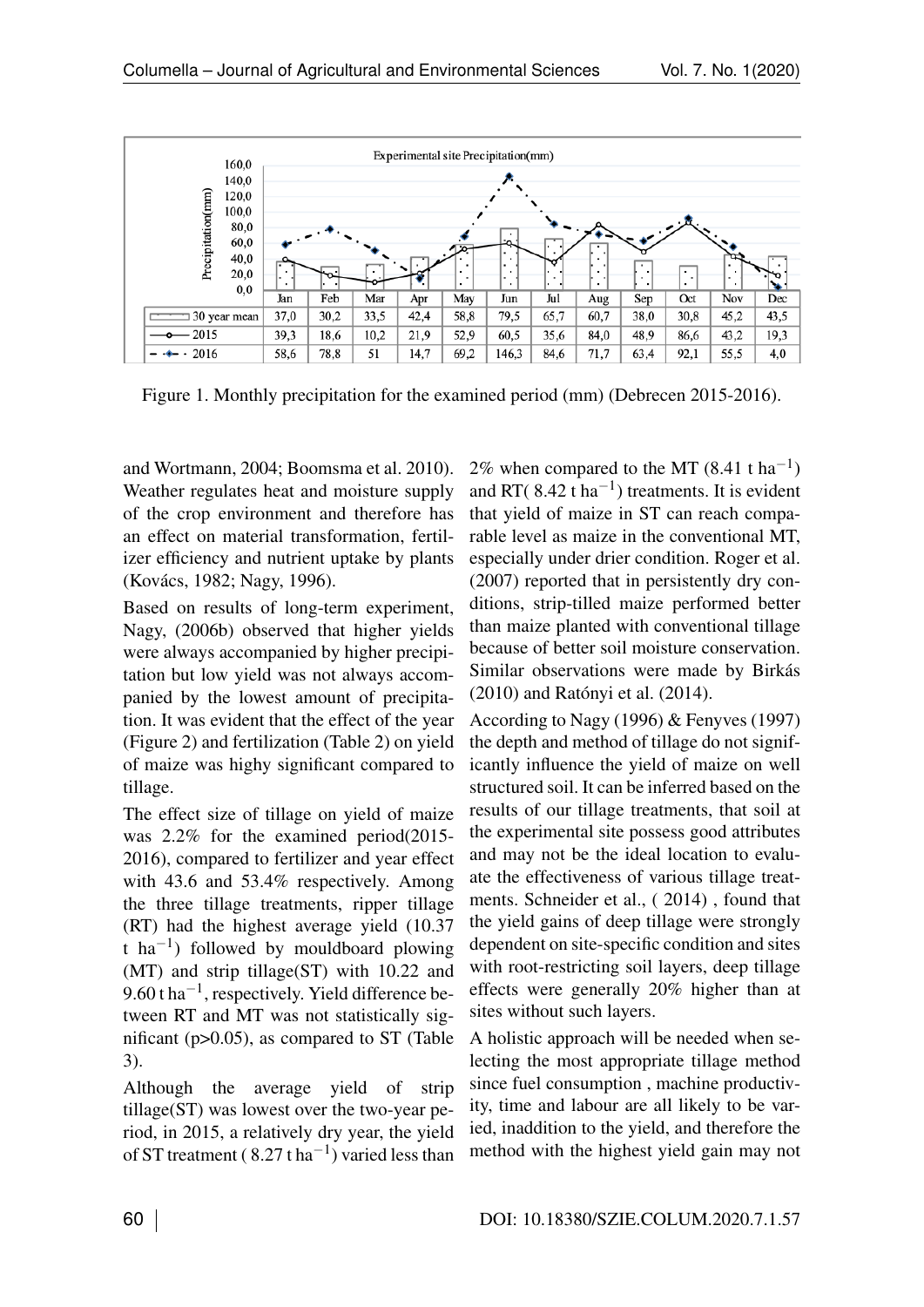

Figure 1. Monthly precipitation for the examined period (mm) (Debrecen 2015-2016).

and Wortmann, 2004; Boomsma et al. 2010). Weather regulates heat and moisture supply of the crop environment and therefore has an effect on material transformation, fertilizer efficiency and nutrient uptake by plants (Kovács, 1982; Nagy, 1996).

Based on results of long-term experiment, Nagy, (2006b) observed that higher yields were always accompanied by higher precipitation but low yield was not always accompanied by the lowest amount of precipitation. It was evident that the effect of the year (Figure [2\)](#page-7-1) and fertilization (Table [2\)](#page--1-1) on yield of maize was highy significant compared to tillage.

The effect size of tillage on yield of maize was 2.2% for the examined period(2015- 2016), compared to fertilizer and year effect with 43.6 and 53.4% respectively. Among the three tillage treatments, ripper tillage (RT) had the highest average yield (10.37 t ha<sup>-1</sup>) followed by mouldboard plowing (MT) and strip tillage(ST) with 10.22 and  $9.60$  t ha<sup>-1</sup>, respectively. Yield difference between RT and MT was not statistically significant (p>0.05), as compared to ST (Table [3\)](#page--1-2).

Although the average yield of strip tillage(ST) was lowest over the two-year period, in 2015, a relatively dry year, the yield of ST treatment ( $8.27$  t ha<sup>-1</sup>) varied less than 2% when compared to the MT  $(8.41 \text{ t} \text{ ha}^{-1})$ and RT( $8.42$  t ha<sup>-1</sup>) treatments. It is evident that yield of maize in ST can reach comparable level as maize in the conventional MT, especially under drier condition. Roger et al. (2007) reported that in persistently dry conditions, strip-tilled maize performed better than maize planted with conventional tillage because of better soil moisture conservation. Similar observations were made by Birkás (2010) and Ratónyi et al. (2014).

According to Nagy (1996) & Fenyves (1997) the depth and method of tillage do not significantly influence the yield of maize on well structured soil. It can be inferred based on the results of our tillage treatments, that soil at the experimental site possess good attributes and may not be the ideal location to evaluate the effectiveness of various tillage treatments. Schneider et al., ( 2014) , found that the yield gains of deep tillage were strongly dependent on site-specific condition and sites with root-restricting soil layers, deep tillage effects were generally 20% higher than at sites without such layers.

A holistic approach will be needed when selecting the most appropriate tillage method since fuel consumption , machine productivity, time and labour are all likely to be varied, inaddition to the yield, and therefore the method with the highest yield gain may not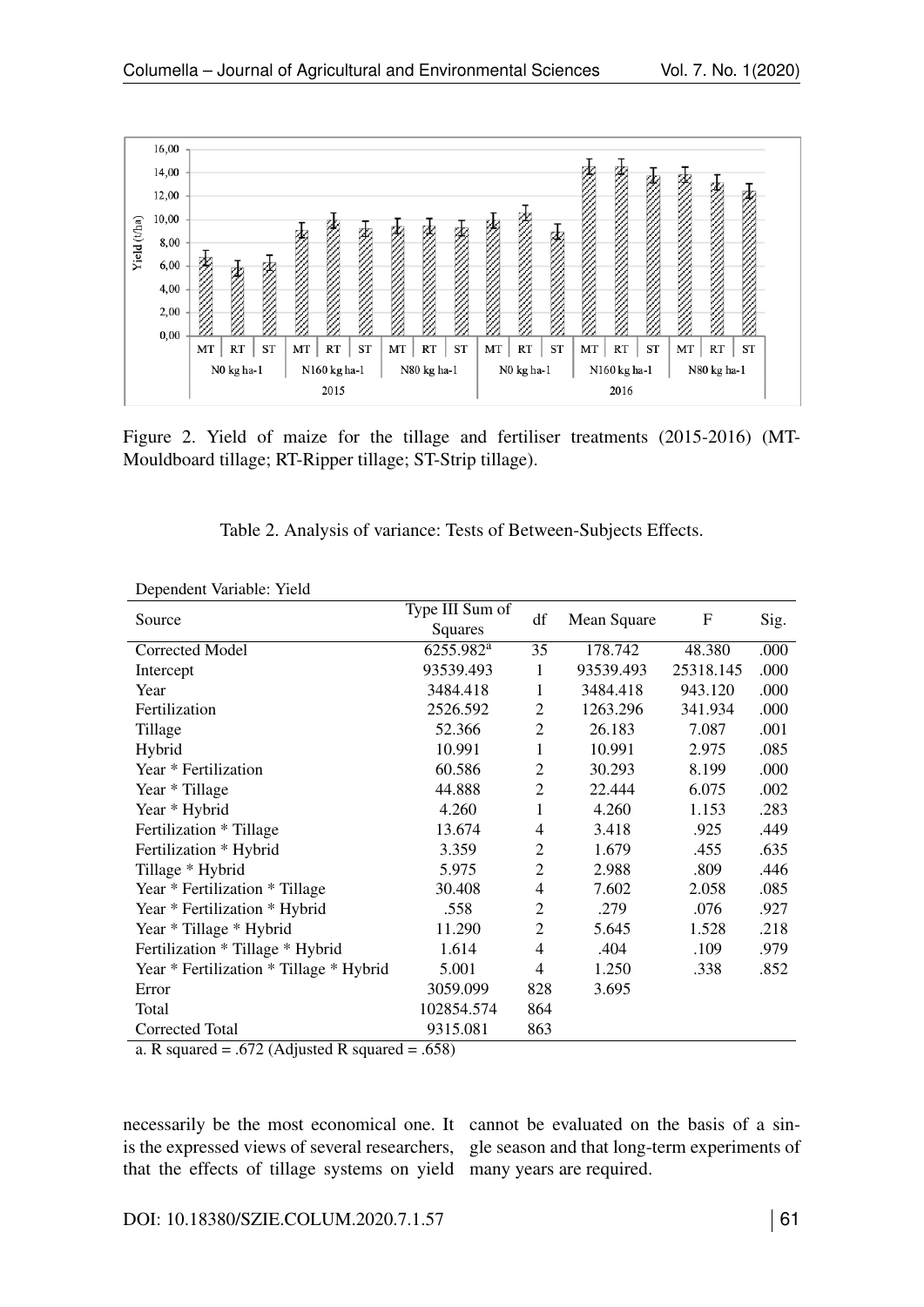

Figure 2. Yield of maize for the tillage and fertiliser treatments (2015-2016) (MT-Mouldboard tillage; RT-Ripper tillage; ST-Strip tillage).

|  |  |  |  | Table 2. Analysis of variance: Tests of Between-Subjects Effects. |
|--|--|--|--|-------------------------------------------------------------------|
|--|--|--|--|-------------------------------------------------------------------|

| Dependent variable. Tient                                          |                            |                |             |           |      |
|--------------------------------------------------------------------|----------------------------|----------------|-------------|-----------|------|
| Source                                                             | Type III Sum of<br>Squares | df             | Mean Square | F         | Sig. |
| Corrected Model                                                    | 6255.982 <sup>a</sup>      | 35             | 178.742     | 48.380    | .000 |
| Intercept                                                          | 93539.493                  | 1              | 93539.493   | 25318.145 | .000 |
| Year                                                               | 3484.418                   | 1              | 3484.418    | 943.120   | .000 |
| Fertilization                                                      | 2526.592                   | 2              | 1263.296    | 341.934   | .000 |
| Tillage                                                            | 52.366                     | $\overline{2}$ | 26.183      | 7.087     | .001 |
| Hybrid                                                             | 10.991                     | 1              | 10.991      | 2.975     | .085 |
| Year * Fertilization                                               | 60.586                     | $\overline{2}$ | 30.293      | 8.199     | .000 |
| Year * Tillage                                                     | 44.888                     | $\overline{2}$ | 22.444      | 6.075     | .002 |
| Year * Hybrid                                                      | 4.260                      | 1              | 4.260       | 1.153     | .283 |
| Fertilization * Tillage                                            | 13.674                     | 4              | 3.418       | .925      | .449 |
| Fertilization * Hybrid                                             | 3.359                      | 2              | 1.679       | .455      | .635 |
| Tillage * Hybrid                                                   | 5.975                      | $\overline{2}$ | 2.988       | .809      | .446 |
| Year * Fertilization * Tillage                                     | 30.408                     | 4              | 7.602       | 2.058     | .085 |
| Year * Fertilization * Hybrid                                      | .558                       | $\overline{2}$ | .279        | .076      | .927 |
| Year * Tillage * Hybrid                                            | 11.290                     | $\overline{2}$ | 5.645       | 1.528     | .218 |
| Fertilization * Tillage * Hybrid                                   | 1.614                      | 4              | .404        | .109      | .979 |
| Year * Fertilization * Tillage * Hybrid                            | 5.001                      | 4              | 1.250       | .338      | .852 |
| Error                                                              | 3059.099                   | 828            | 3.695       |           |      |
| Total                                                              | 102854.574                 | 864            |             |           |      |
| Corrected Total                                                    | 9315.081                   | 863            |             |           |      |
| (70.6111)<br>- -1<br>$\mathbf{D}$ - $\ldots$ $\ldots$ $\mathbf{J}$ | $\epsilon$ = 0)            |                |             |           |      |

Dependent Variable: Yield

a. R squared = .672 (Adjusted R squared = .658)

necessarily be the most economical one. It cannot be evaluated on the basis of a sinis the expressed views of several researchers, gle season and that long-term experiments of that the effects of tillage systems on yield many years are required.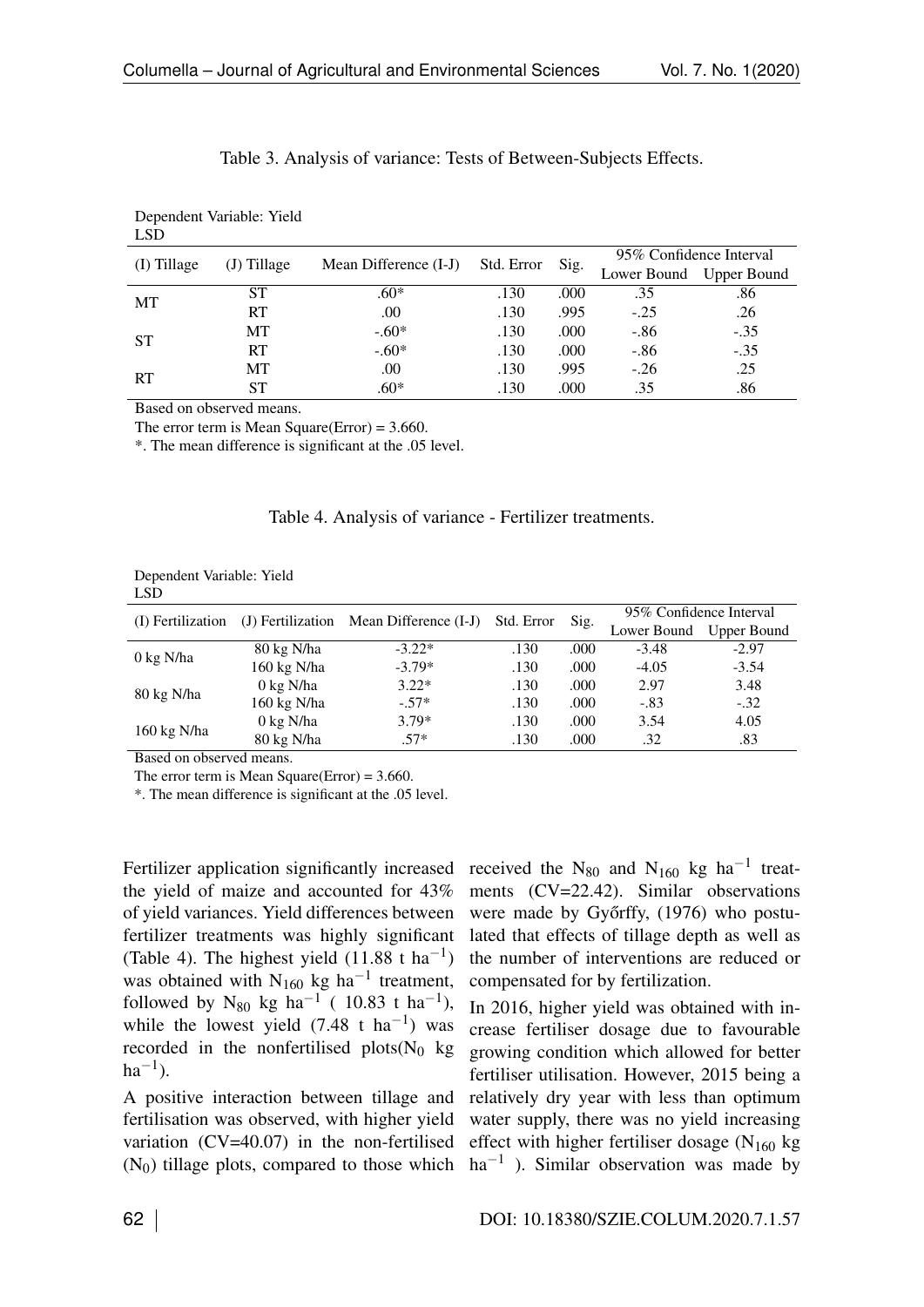| <b>LSD</b>    |               |                       |            |      |                         |                         |  |
|---------------|---------------|-----------------------|------------|------|-------------------------|-------------------------|--|
| $(I)$ Tillage | $(J)$ Tillage | Mean Difference (I-J) | Std. Error | Sig. | 95% Confidence Interval |                         |  |
|               |               |                       |            |      |                         | Lower Bound Upper Bound |  |
| МT            | SТ            | $.60*$                | .130       | .000 | .35                     | .86                     |  |
|               | RT            | .00                   | .130       | .995 | $-.25$                  | .26                     |  |
| <b>ST</b>     | МT            | $-.60*$               | .130       | .000 | $-.86$                  | $-.35$                  |  |
|               | RT            | $-.60*$               | .130       | .000 | $-.86$                  | $-.35$                  |  |
| <b>RT</b>     | MT            | .00                   | .130       | .995 | $-.26$                  | .25                     |  |
|               | ST            | $.60*$                | .130       | .000 | .35                     | .86                     |  |

| Table 3. Analysis of variance: Tests of Between-Subjects Effects. |  |  |  |
|-------------------------------------------------------------------|--|--|--|
|                                                                   |  |  |  |

Based on observed means.

Dependent Variable: Yield

The error term is Mean Square(Error) =  $3.660$ .

\*. The mean difference is significant at the .05 level.

| Dependent Variable: Yield |  |
|---------------------------|--|
| LSD <sub>.</sub>          |  |

| (I) Fertilization    | (J) Fertilization    | Mean Difference (I-J) | Std. Error | Sig. | 95% Confidence Interval<br><b>Upper Bound</b><br>Lower Bound |         |
|----------------------|----------------------|-----------------------|------------|------|--------------------------------------------------------------|---------|
|                      |                      |                       |            |      |                                                              |         |
|                      | 80 kg N/ha           | $-3.22*$              | .130       | .000 | $-3.48$                                                      | $-2.97$ |
| $0 \text{ kg } N/ha$ | 160 kg N/ha          | $-3.79*$              | .130       | .000 | $-4.05$                                                      | $-3.54$ |
|                      | $0 \text{ kg } N/ha$ | $3.22*$               | .130       | .000 | 2.97                                                         | 3.48    |
| 80 kg N/ha           | 160 kg N/ha          | $-.57*$               | .130       | .000 | $-.83$                                                       | $-.32$  |
| 160 kg N/ha          | 0 kg N/ha            | $3.79*$               | .130       | .000 | 3.54                                                         | 4.05    |
|                      | 80 kg N/ha           | $.57*$                | .130       | .000 | .32                                                          | .83     |
|                      |                      |                       |            |      |                                                              |         |

Based on observed means.

The error term is Mean Square(Error) = 3.660.

\*. The mean difference is significant at the .05 level.

Fertilizer application significantly increased the yield of maize and accounted for 43% of yield variances. Yield differences between fertilizer treatments was highly significant (Table [4\)](#page--1-3). The highest yield  $(11.88 \text{ t} \text{ ha}^{-1})$ was obtained with  $N_{160}$  kg ha<sup>-1</sup> treatment, followed by N<sub>80</sub> kg ha<sup>-1</sup> ( 10.83 t ha<sup>-1</sup>), while the lowest yield  $(7.48 \text{ t} \text{ ha}^{-1})$  was recorded in the nonfertilised plots( $N_0$  kg  $ha^{-1}$ ).

A positive interaction between tillage and fertilisation was observed, with higher yield variation (CV=40.07) in the non-fertilised  $(N_0)$  tillage plots, compared to those which  $ha^{-1}$ ). Similar observation was made by

received the N<sub>80</sub> and N<sub>160</sub> kg ha<sup>-1</sup> treatments (CV=22.42). Similar observations were made by Győrffy, (1976) who postulated that effects of tillage depth as well as the number of interventions are reduced or compensated for by fertilization.

In 2016, higher yield was obtained with increase fertiliser dosage due to favourable growing condition which allowed for better fertiliser utilisation. However, 2015 being a relatively dry year with less than optimum water supply, there was no yield increasing effect with higher fertiliser dosage  $(N_{160}$  kg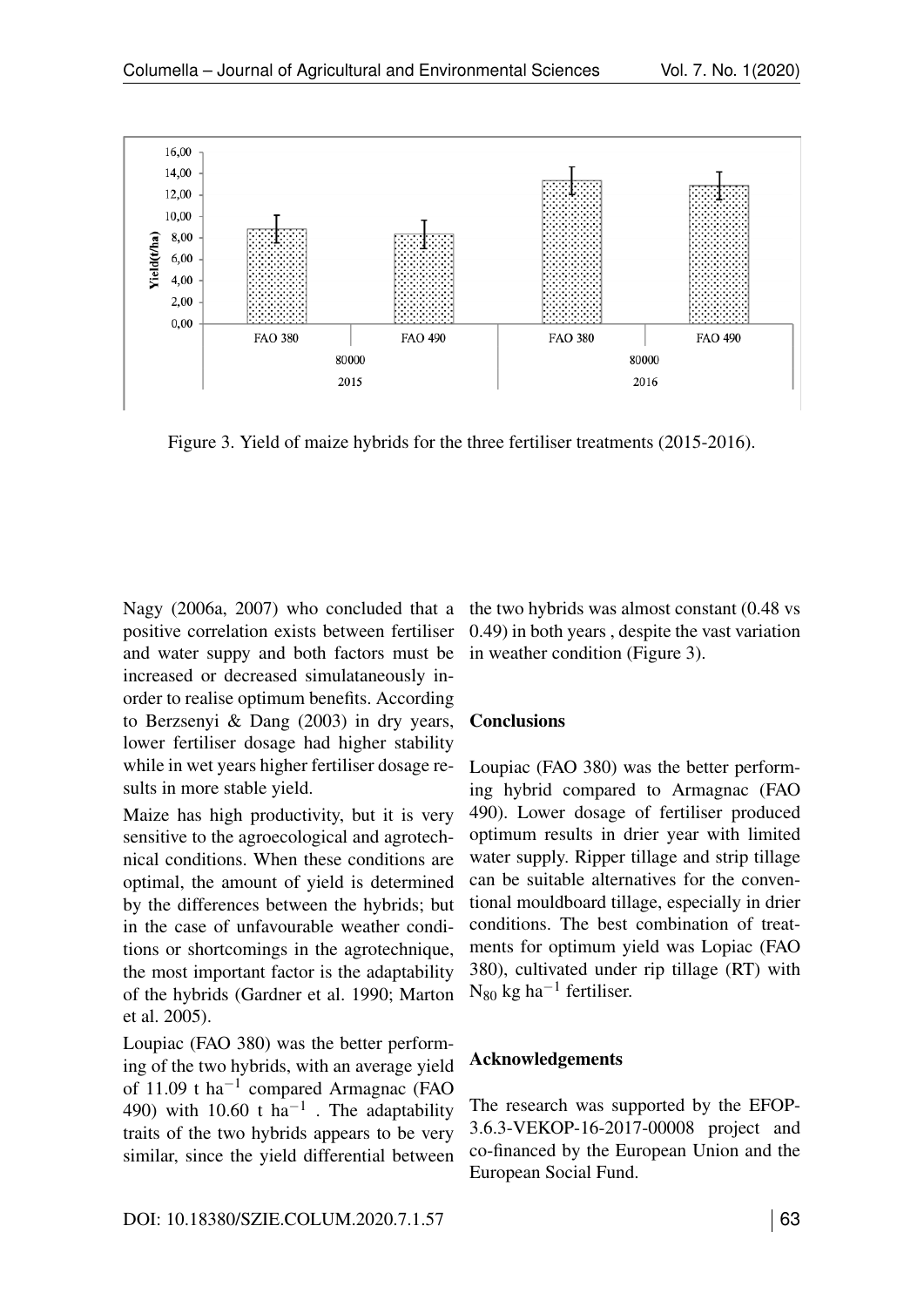

Figure 3. Yield of maize hybrids for the three fertiliser treatments (2015-2016).

Nagy (2006a, 2007) who concluded that a positive correlation exists between fertiliser and water suppy and both factors must be increased or decreased simulataneously inorder to realise optimum benefits. According to Berzsenyi & Dang (2003) in dry years, lower fertiliser dosage had higher stability while in wet years higher fertiliser dosage results in more stable yield.

Maize has high productivity, but it is very sensitive to the agroecological and agrotechnical conditions. When these conditions are optimal, the amount of yield is determined by the differences between the hybrids; but in the case of unfavourable weather conditions or shortcomings in the agrotechnique, the most important factor is the adaptability of the hybrids (Gardner et al. 1990; Marton et al. 2005).

Loupiac (FAO 380) was the better performing of the two hybrids, with an average yield of  $11.09$  t ha<sup>-1</sup> compared Armagnac (FAO 490) with 10.60 t  $ha^{-1}$ . The adaptability traits of the two hybrids appears to be very similar, since the yield differential between

the two hybrids was almost constant (0.48 vs 0.49) in both years , despite the vast variation in weather condition (Figure [3\)](#page--1-4).

## **Conclusions**

Loupiac (FAO 380) was the better performing hybrid compared to Armagnac (FAO 490). Lower dosage of fertiliser produced optimum results in drier year with limited water supply. Ripper tillage and strip tillage can be suitable alternatives for the conventional mouldboard tillage, especially in drier conditions. The best combination of treatments for optimum yield was Lopiac (FAO 380), cultivated under rip tillage (RT) with  $N_{80}$  kg ha<sup>-1</sup> fertiliser.

## Acknowledgements

The research was supported by the EFOP-3.6.3-VEKOP-16-2017-00008 project and co-financed by the European Union and the European Social Fund.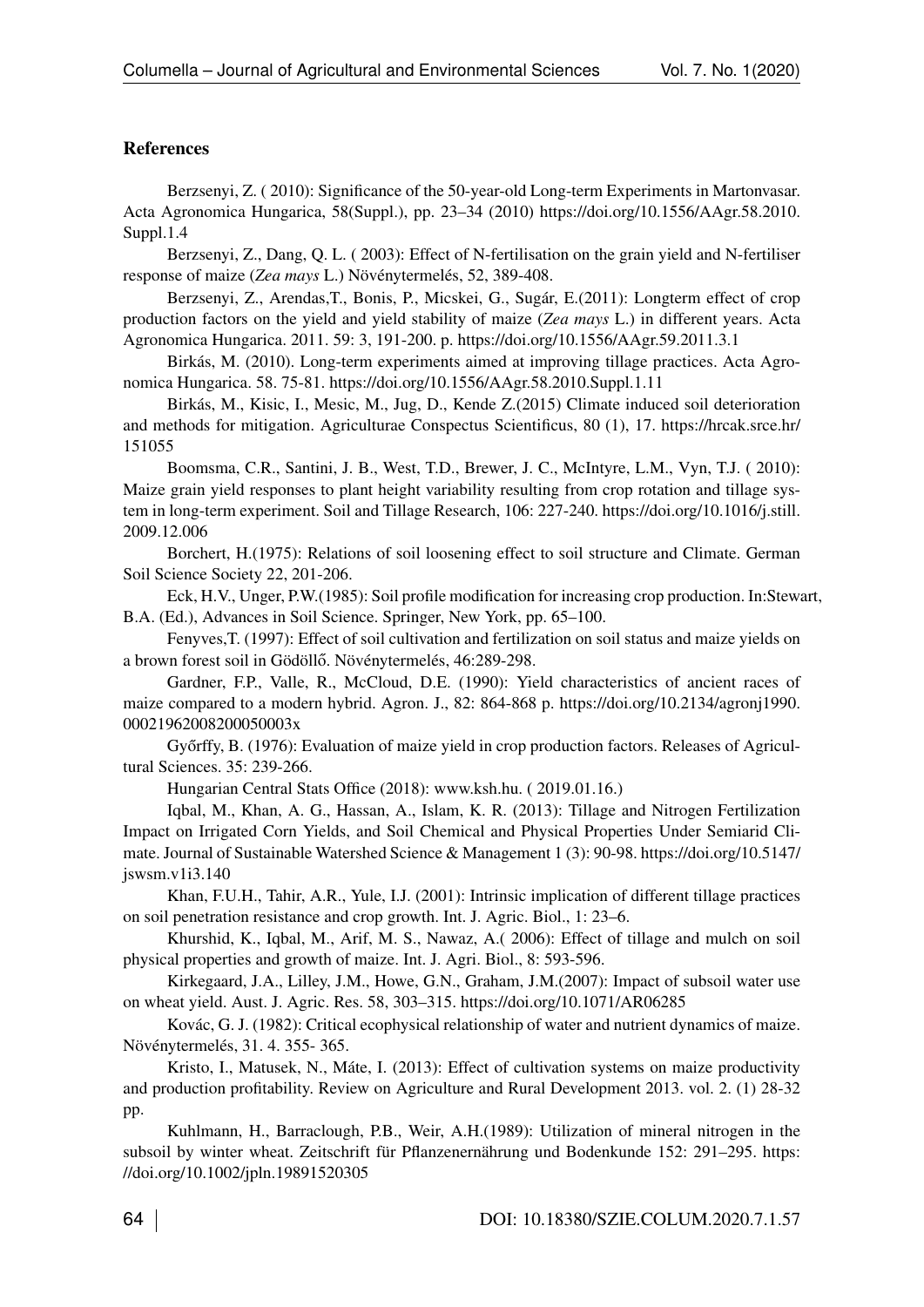#### References

Berzsenyi, Z. ( 2010): Significance of the 50-year-old Long-term Experiments in Martonvasar. Acta Agronomica Hungarica, 58(Suppl.), pp. 23–34 (2010) [https://doi.org/10.1556/AAgr.58.2010.](https://doi.org/10.1556/AAgr.58.%202010.Suppl.1.4) [Suppl.1.4](https://doi.org/10.1556/AAgr.58.%202010.Suppl.1.4)

Berzsenyi, Z., Dang, Q. L. ( 2003): Effect of N-fertilisation on the grain yield and N-fertiliser response of maize (*Zea mays* L.) Növénytermelés, 52, 389-408.

Berzsenyi, Z., Arendas,T., Bonis, P., Micskei, G., Sugár, E.(2011): Longterm effect of crop production factors on the yield and yield stability of maize (*Zea mays* L.) in different years. Acta Agronomica Hungarica. 2011. 59: 3, 191-200. p.<https://doi.org/10.1556/AAgr.59.2011.3.1>

Birkás, M. (2010). Long-term experiments aimed at improving tillage practices. Acta Agronomica Hungarica. 58. 75-81.<https://doi.org/10.1556/AAgr.58.2010.Suppl.1.11>

Birkás, M., Kisic, I., Mesic, M., Jug, D., Kende Z.(2015) Climate induced soil deterioration and methods for mitigation. Agriculturae Conspectus Scientificus, 80 (1), 17. [https://hrcak.srce.hr/](https://hrcak.srce.hr/151055) [151055](https://hrcak.srce.hr/151055)

<span id="page-7-0"></span>Boomsma, C.R., Santini, J. B., West, T.D., Brewer, J. C., McIntyre, L.M., Vyn, T.J. ( 2010): Maize grain yield responses to plant height variability resulting from crop rotation and tillage system in long-term experiment. Soil and Tillage Research, 106: 227-240. [https://doi.org/10.1016/j.still.](https://doi.org/10.1016/j.still.2009.12.006) [2009.12.006](https://doi.org/10.1016/j.still.2009.12.006)

Borchert, H.(1975): Relations of soil loosening effect to soil structure and Climate. German Soil Science Society 22, 201-206.

Eck, H.V., Unger, P.W.(1985): Soil profile modification for increasing crop production. In:Stewart, B.A. (Ed.), Advances in Soil Science. Springer, New York, pp. 65–100.

Fenyves,T. (1997): Effect of soil cultivation and fertilization on soil status and maize yields on a brown forest soil in Gödöllő. Növénytermelés, 46:289-298.

Gardner, F.P., Valle, R., McCloud, D.E. (1990): Yield characteristics of ancient races of maize compared to a modern hybrid. Agron. J., 82: 864-868 p. [https://doi.org/10.2134/agronj1990.](https://doi.org/10.2134/agronj1990.00021962008200050003x) [00021962008200050003x](https://doi.org/10.2134/agronj1990.00021962008200050003x)

Győrffy, B. (1976): Evaluation of maize yield in crop production factors. Releases of Agricultural Sciences. 35: 239-266.

<span id="page-7-1"></span>Hungarian Central Stats Office (2018):<www.ksh.hu.> ( 2019.01.16.)

Iqbal, M., Khan, A. G., Hassan, A., Islam, K. R. (2013): Tillage and Nitrogen Fertilization Impact on Irrigated Corn Yields, and Soil Chemical and Physical Properties Under Semiarid Climate. Journal of Sustainable Watershed Science & Management 1 (3): 90-98. [https://doi.org/10.5147/](https://doi.org/10.5147/jswsm.v1i3.140) [jswsm.v1i3.140](https://doi.org/10.5147/jswsm.v1i3.140)

Khan, F.U.H., Tahir, A.R., Yule, I.J. (2001): Intrinsic implication of different tillage practices on soil penetration resistance and crop growth. Int. J. Agric. Biol., 1: 23–6.

Khurshid, K., Iqbal, M., Arif, M. S., Nawaz, A.( 2006): Effect of tillage and mulch on soil physical properties and growth of maize. Int. J. Agri. Biol., 8: 593-596.

Kirkegaard, J.A., Lilley, J.M., Howe, G.N., Graham, J.M.(2007): Impact of subsoil water use on wheat yield. Aust. J. Agric. Res. 58, 303–315.<https://doi.org/10.1071/AR06285>

Kovác, G. J. (1982): Critical ecophysical relationship of water and nutrient dynamics of maize. Növénytermelés, 31. 4. 355- 365.

Kristo, I., Matusek, N., Máte, I. (2013): Effect of cultivation systems on maize productivity and production profitability. Review on Agriculture and Rural Development 2013. vol. 2. (1) 28-32 pp.

Kuhlmann, H., Barraclough, P.B., Weir, A.H.(1989): Utilization of mineral nitrogen in the subsoil by winter wheat. Zeitschrift für Pflanzenernährung und Bodenkunde 152: 291–295. [https:](https://doi.org/10.1002/jpln.19891520305) [//doi.org/10.1002/jpln.19891520305](https://doi.org/10.1002/jpln.19891520305)